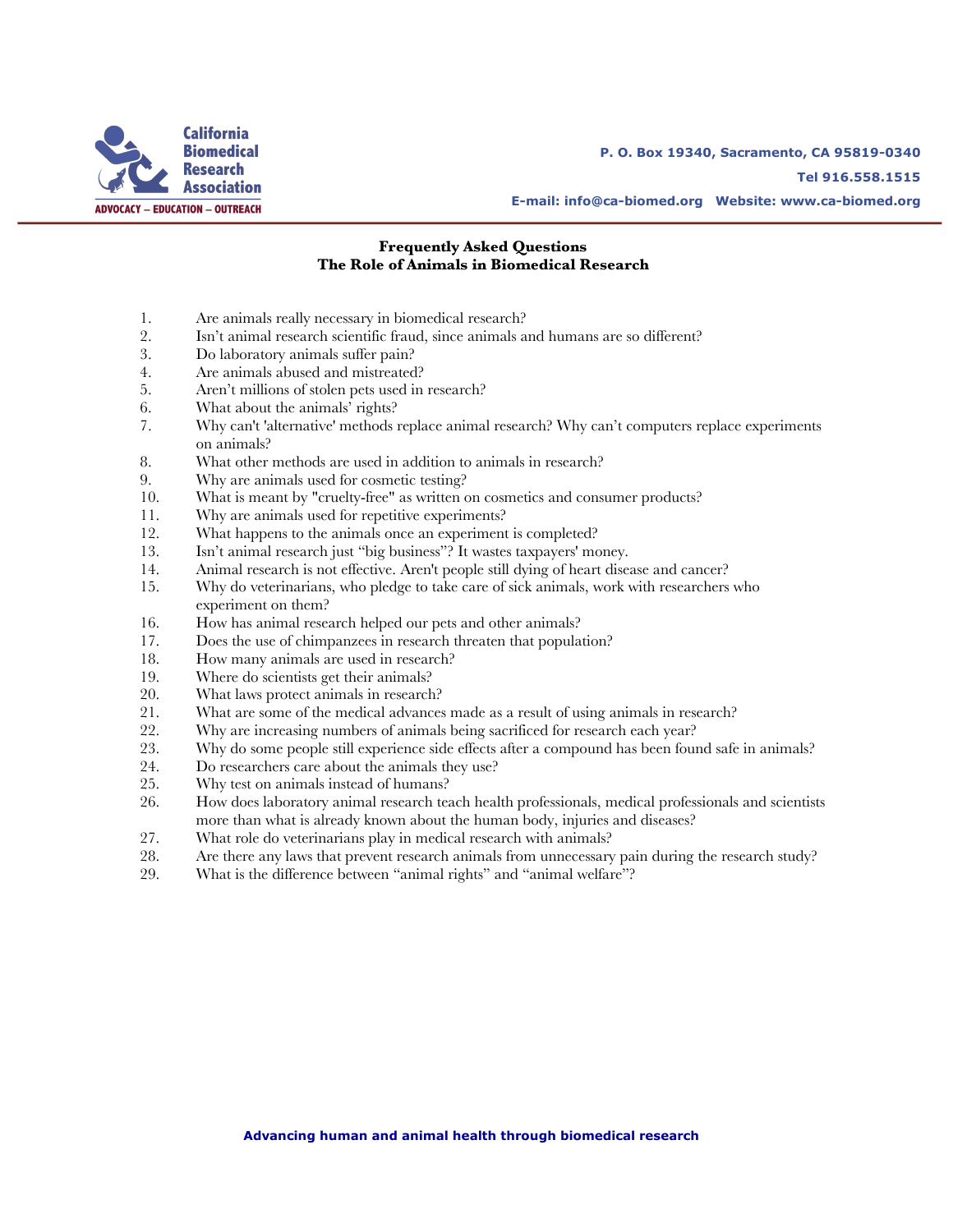

**P. O. Box 19340, Sacramento, CA 95819-0340 Tel 916.558.1515** 

**E-mail: info@ca-biomed.org Website: www.ca-biomed.org**

#### **Frequently Asked Questions The Role of Animals in Biomedical Research**

- 1. Are animals really necessary in biomedical research?<br>2. Isn't animal research scientific fraud, since animals a
- 2. Isn't animal research scientific fraud, since animals and humans are so different?
- 3. Do laboratory animals suffer pain?
- 4. Are animals abused and mistreated?
- 5. Aren't millions of stolen pets used in research?
- 6. What about the animals' rights?
- 7. Why can't 'alternative' methods replace animal research? Why can't computers replace experiments on animals?
- 8. What other methods are used in addition to animals in research?
- 9. Why are animals used for cosmetic testing?
- 10. What is meant by "cruelty-free" as written on cosmetics and consumer products?
- 11. Why are animals used for repetitive experiments?<br>12. What happens to the animals once an experiment
- What happens to the animals once an experiment is completed?
- 13. Isn't animal research just "big business"? It wastes taxpayers' money.
- 14. Animal research is not effective. Aren't people still dying of heart disease and cancer?
- 15. Why do veterinarians, who pledge to take care of sick animals, work with researchers who experiment on them?
- 16. How has animal research helped our pets and other animals?
- 17. Does the use of chimpanzees in research threaten that population?
- 18. How many animals are used in research?
- 19. Where do scientists get their animals?
- 20. What laws protect animals in research?
- 21. What are some of the medical advances made as a result of using animals in research?<br>22. Why are increasing numbers of animals being sacrificed for research each year?
- Why are increasing numbers of animals being sacrificed for research each year?
- 23. Why do some people still experience side effects after a compound has been found safe in animals?
- 24. Do researchers care about the animals they use?
- 25. Why test on animals instead of humans?
- 26. How does laboratory animal research teach health professionals, medical professionals and scientists more than what is already known about the human body, injuries and diseases?
- 27. What role do veterinarians play in medical research with animals?
- 28. Are there any laws that prevent research animals from unnecessary pain during the research study?
- 29. What is the difference between "animal rights" and "animal welfare"?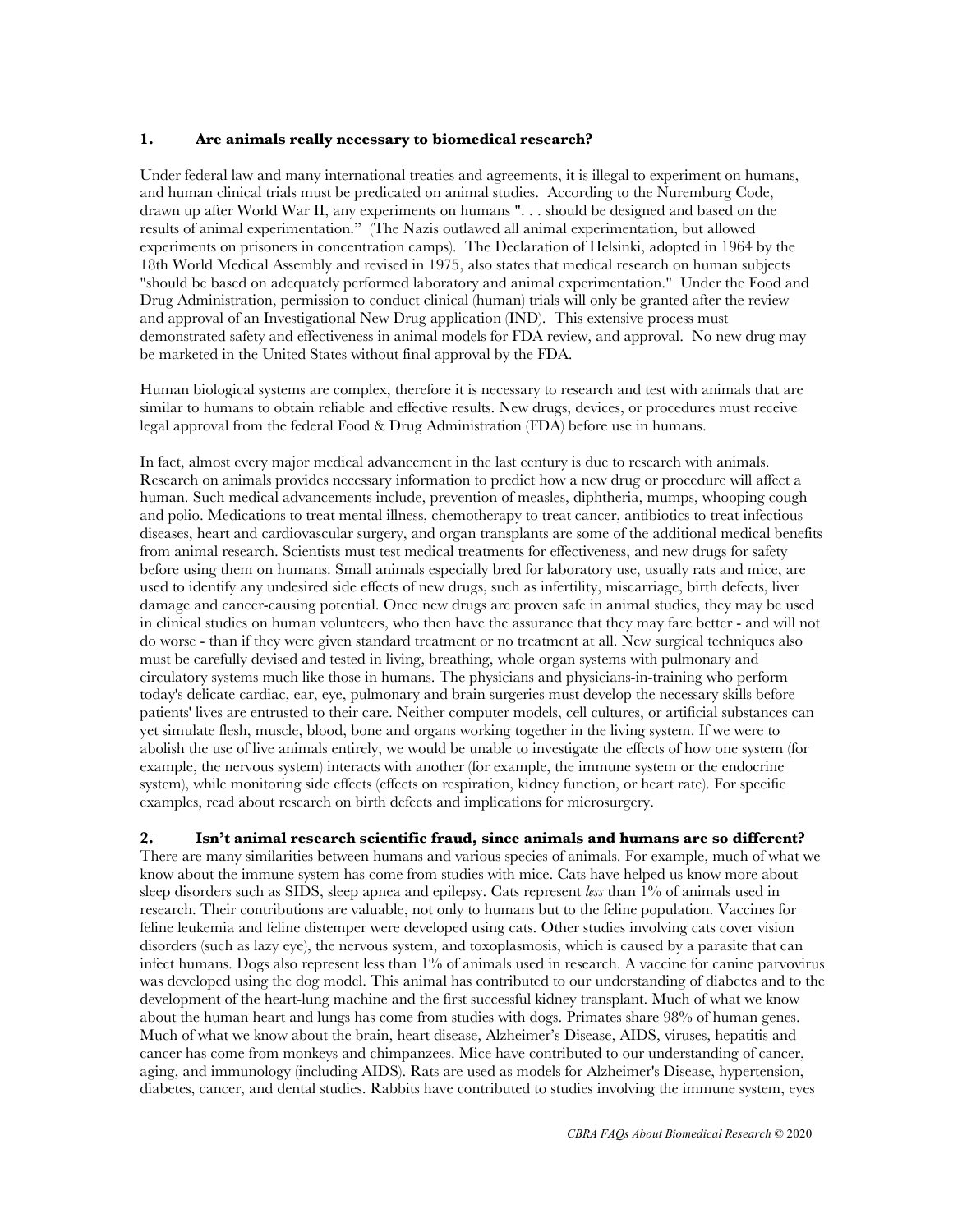#### **1. Are animals really necessary to biomedical research?**

Under federal law and many international treaties and agreements, it is illegal to experiment on humans, and human clinical trials must be predicated on animal studies. According to the Nuremburg Code, drawn up after World War II, any experiments on humans ". . . should be designed and based on the results of animal experimentation." (The Nazis outlawed all animal experimentation, but allowed experiments on prisoners in concentration camps). The Declaration of Helsinki, adopted in 1964 by the 18th World Medical Assembly and revised in 1975, also states that medical research on human subjects "should be based on adequately performed laboratory and animal experimentation." Under the Food and Drug Administration, permission to conduct clinical (human) trials will only be granted after the review and approval of an Investigational New Drug application (IND). This extensive process must demonstrated safety and effectiveness in animal models for FDA review, and approval. No new drug may be marketed in the United States without final approval by the FDA.

Human biological systems are complex, therefore it is necessary to research and test with animals that are similar to humans to obtain reliable and effective results. New drugs, devices, or procedures must receive legal approval from the federal Food & Drug Administration (FDA) before use in humans.

In fact, almost every major medical advancement in the last century is due to research with animals. Research on animals provides necessary information to predict how a new drug or procedure will affect a human. Such medical advancements include, prevention of measles, diphtheria, mumps, whooping cough and polio. Medications to treat mental illness, chemotherapy to treat cancer, antibiotics to treat infectious diseases, heart and cardiovascular surgery, and organ transplants are some of the additional medical benefits from animal research. Scientists must test medical treatments for effectiveness, and new drugs for safety before using them on humans. Small animals especially bred for laboratory use, usually rats and mice, are used to identify any undesired side effects of new drugs, such as infertility, miscarriage, birth defects, liver damage and cancer-causing potential. Once new drugs are proven safe in animal studies, they may be used in clinical studies on human volunteers, who then have the assurance that they may fare better - and will not do worse - than if they were given standard treatment or no treatment at all. New surgical techniques also must be carefully devised and tested in living, breathing, whole organ systems with pulmonary and circulatory systems much like those in humans. The physicians and physicians-in-training who perform today's delicate cardiac, ear, eye, pulmonary and brain surgeries must develop the necessary skills before patients' lives are entrusted to their care. Neither computer models, cell cultures, or artificial substances can yet simulate flesh, muscle, blood, bone and organs working together in the living system. If we were to abolish the use of live animals entirely, we would be unable to investigate the effects of how one system (for example, the nervous system) interacts with another (for example, the immune system or the endocrine system), while monitoring side effects (effects on respiration, kidney function, or heart rate). For specific examples, read about research on birth defects and implications for microsurgery.

## **2. Isn't animal research scientific fraud, since animals and humans are so different?**

There are many similarities between humans and various species of animals. For example, much of what we know about the immune system has come from studies with mice. Cats have helped us know more about sleep disorders such as SIDS, sleep apnea and epilepsy. Cats represent *less* than 1% of animals used in research. Their contributions are valuable, not only to humans but to the feline population. Vaccines for feline leukemia and feline distemper were developed using cats. Other studies involving cats cover vision disorders (such as lazy eye), the nervous system, and toxoplasmosis, which is caused by a parasite that can infect humans. Dogs also represent less than 1% of animals used in research. A vaccine for canine parvovirus was developed using the dog model. This animal has contributed to our understanding of diabetes and to the development of the heart-lung machine and the first successful kidney transplant. Much of what we know about the human heart and lungs has come from studies with dogs. Primates share 98% of human genes. Much of what we know about the brain, heart disease, Alzheimer's Disease, AIDS, viruses, hepatitis and cancer has come from monkeys and chimpanzees. Mice have contributed to our understanding of cancer, aging, and immunology (including AIDS). Rats are used as models for Alzheimer's Disease, hypertension, diabetes, cancer, and dental studies. Rabbits have contributed to studies involving the immune system, eyes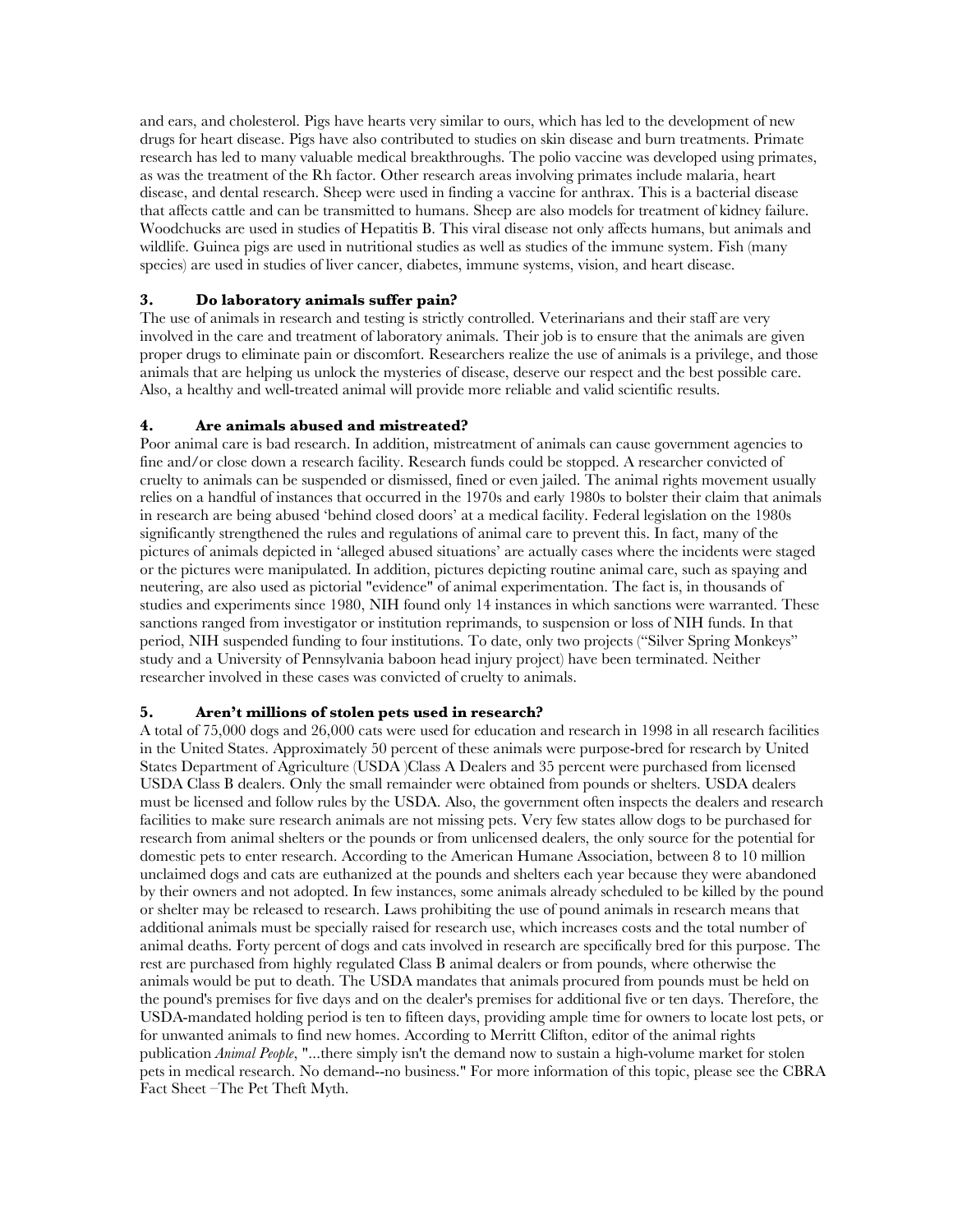and ears, and cholesterol. Pigs have hearts very similar to ours, which has led to the development of new drugs for heart disease. Pigs have also contributed to studies on skin disease and burn treatments. Primate research has led to many valuable medical breakthroughs. The polio vaccine was developed using primates, as was the treatment of the Rh factor. Other research areas involving primates include malaria, heart disease, and dental research. Sheep were used in finding a vaccine for anthrax. This is a bacterial disease that affects cattle and can be transmitted to humans. Sheep are also models for treatment of kidney failure. Woodchucks are used in studies of Hepatitis B. This viral disease not only affects humans, but animals and wildlife. Guinea pigs are used in nutritional studies as well as studies of the immune system. Fish (many species) are used in studies of liver cancer, diabetes, immune systems, vision, and heart disease.

## **3. Do laboratory animals suffer pain?**

The use of animals in research and testing is strictly controlled. Veterinarians and their staff are very involved in the care and treatment of laboratory animals. Their job is to ensure that the animals are given proper drugs to eliminate pain or discomfort. Researchers realize the use of animals is a privilege, and those animals that are helping us unlock the mysteries of disease, deserve our respect and the best possible care. Also, a healthy and well-treated animal will provide more reliable and valid scientific results.

## **4. Are animals abused and mistreated?**

Poor animal care is bad research. In addition, mistreatment of animals can cause government agencies to fine and/or close down a research facility. Research funds could be stopped. A researcher convicted of cruelty to animals can be suspended or dismissed, fined or even jailed. The animal rights movement usually relies on a handful of instances that occurred in the 1970s and early 1980s to bolster their claim that animals in research are being abused 'behind closed doors' at a medical facility. Federal legislation on the 1980s significantly strengthened the rules and regulations of animal care to prevent this. In fact, many of the pictures of animals depicted in 'alleged abused situations' are actually cases where the incidents were staged or the pictures were manipulated. In addition, pictures depicting routine animal care, such as spaying and neutering, are also used as pictorial "evidence" of animal experimentation. The fact is, in thousands of studies and experiments since 1980, NIH found only 14 instances in which sanctions were warranted. These sanctions ranged from investigator or institution reprimands, to suspension or loss of NIH funds. In that period, NIH suspended funding to four institutions. To date, only two projects ("Silver Spring Monkeys" study and a University of Pennsylvania baboon head injury project) have been terminated. Neither researcher involved in these cases was convicted of cruelty to animals.

## **5. Aren't millions of stolen pets used in research?**

A total of 75,000 dogs and 26,000 cats were used for education and research in 1998 in all research facilities in the United States. Approximately 50 percent of these animals were purpose-bred for research by United States Department of Agriculture (USDA )Class A Dealers and 35 percent were purchased from licensed USDA Class B dealers. Only the small remainder were obtained from pounds or shelters. USDA dealers must be licensed and follow rules by the USDA. Also, the government often inspects the dealers and research facilities to make sure research animals are not missing pets. Very few states allow dogs to be purchased for research from animal shelters or the pounds or from unlicensed dealers, the only source for the potential for domestic pets to enter research. According to the American Humane Association, between 8 to 10 million unclaimed dogs and cats are euthanized at the pounds and shelters each year because they were abandoned by their owners and not adopted. In few instances, some animals already scheduled to be killed by the pound or shelter may be released to research. Laws prohibiting the use of pound animals in research means that additional animals must be specially raised for research use, which increases costs and the total number of animal deaths. Forty percent of dogs and cats involved in research are specifically bred for this purpose. The rest are purchased from highly regulated Class B animal dealers or from pounds, where otherwise the animals would be put to death. The USDA mandates that animals procured from pounds must be held on the pound's premises for five days and on the dealer's premises for additional five or ten days. Therefore, the USDA-mandated holding period is ten to fifteen days, providing ample time for owners to locate lost pets, or for unwanted animals to find new homes. According to Merritt Clifton, editor of the animal rights publication *Animal People*, "...there simply isn't the demand now to sustain a high-volume market for stolen pets in medical research. No demand--no business." For more information of this topic, please see the CBRA Fact Sheet –The Pet Theft Myth.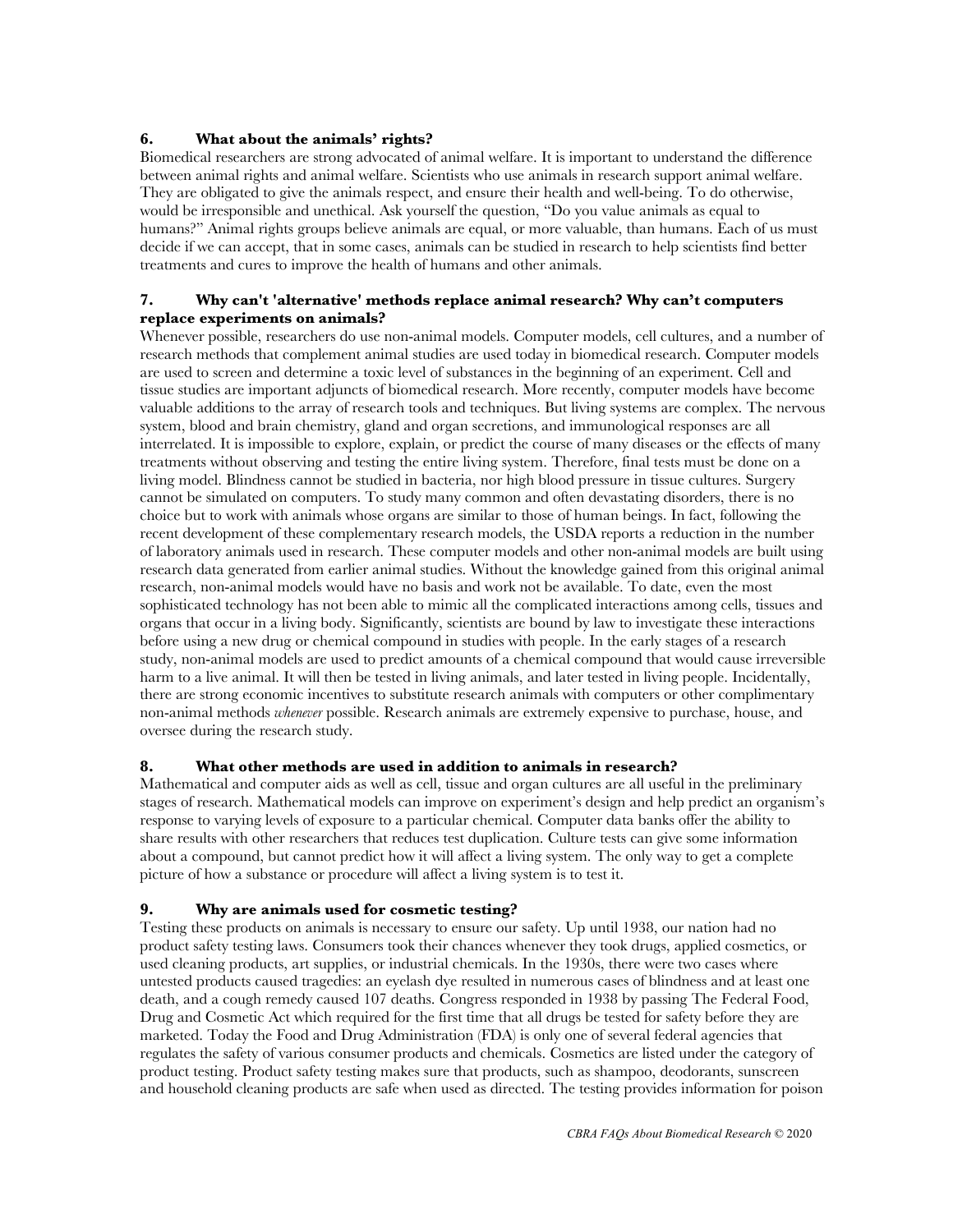## **6. What about the animals' rights?**

Biomedical researchers are strong advocated of animal welfare. It is important to understand the difference between animal rights and animal welfare. Scientists who use animals in research support animal welfare. They are obligated to give the animals respect, and ensure their health and well-being. To do otherwise, would be irresponsible and unethical. Ask yourself the question, "Do you value animals as equal to humans?" Animal rights groups believe animals are equal, or more valuable, than humans. Each of us must decide if we can accept, that in some cases, animals can be studied in research to help scientists find better treatments and cures to improve the health of humans and other animals.

## **7. Why can't 'alternative' methods replace animal research? Why can't computers replace experiments on animals?**

Whenever possible, researchers do use non-animal models. Computer models, cell cultures, and a number of research methods that complement animal studies are used today in biomedical research. Computer models are used to screen and determine a toxic level of substances in the beginning of an experiment. Cell and tissue studies are important adjuncts of biomedical research. More recently, computer models have become valuable additions to the array of research tools and techniques. But living systems are complex. The nervous system, blood and brain chemistry, gland and organ secretions, and immunological responses are all interrelated. It is impossible to explore, explain, or predict the course of many diseases or the effects of many treatments without observing and testing the entire living system. Therefore, final tests must be done on a living model. Blindness cannot be studied in bacteria, nor high blood pressure in tissue cultures. Surgery cannot be simulated on computers. To study many common and often devastating disorders, there is no choice but to work with animals whose organs are similar to those of human beings. In fact, following the recent development of these complementary research models, the USDA reports a reduction in the number of laboratory animals used in research. These computer models and other non-animal models are built using research data generated from earlier animal studies. Without the knowledge gained from this original animal research, non-animal models would have no basis and work not be available. To date, even the most sophisticated technology has not been able to mimic all the complicated interactions among cells, tissues and organs that occur in a living body. Significantly, scientists are bound by law to investigate these interactions before using a new drug or chemical compound in studies with people. In the early stages of a research study, non-animal models are used to predict amounts of a chemical compound that would cause irreversible harm to a live animal. It will then be tested in living animals, and later tested in living people. Incidentally, there are strong economic incentives to substitute research animals with computers or other complimentary non-animal methods *whenever* possible. Research animals are extremely expensive to purchase, house, and oversee during the research study.

## **8. What other methods are used in addition to animals in research?**

Mathematical and computer aids as well as cell, tissue and organ cultures are all useful in the preliminary stages of research. Mathematical models can improve on experiment's design and help predict an organism's response to varying levels of exposure to a particular chemical. Computer data banks offer the ability to share results with other researchers that reduces test duplication. Culture tests can give some information about a compound, but cannot predict how it will affect a living system. The only way to get a complete picture of how a substance or procedure will affect a living system is to test it.

## **9. Why are animals used for cosmetic testing?**

Testing these products on animals is necessary to ensure our safety. Up until 1938, our nation had no product safety testing laws. Consumers took their chances whenever they took drugs, applied cosmetics, or used cleaning products, art supplies, or industrial chemicals. In the 1930s, there were two cases where untested products caused tragedies: an eyelash dye resulted in numerous cases of blindness and at least one death, and a cough remedy caused 107 deaths. Congress responded in 1938 by passing The Federal Food, Drug and Cosmetic Act which required for the first time that all drugs be tested for safety before they are marketed. Today the Food and Drug Administration (FDA) is only one of several federal agencies that regulates the safety of various consumer products and chemicals. Cosmetics are listed under the category of product testing. Product safety testing makes sure that products, such as shampoo, deodorants, sunscreen and household cleaning products are safe when used as directed. The testing provides information for poison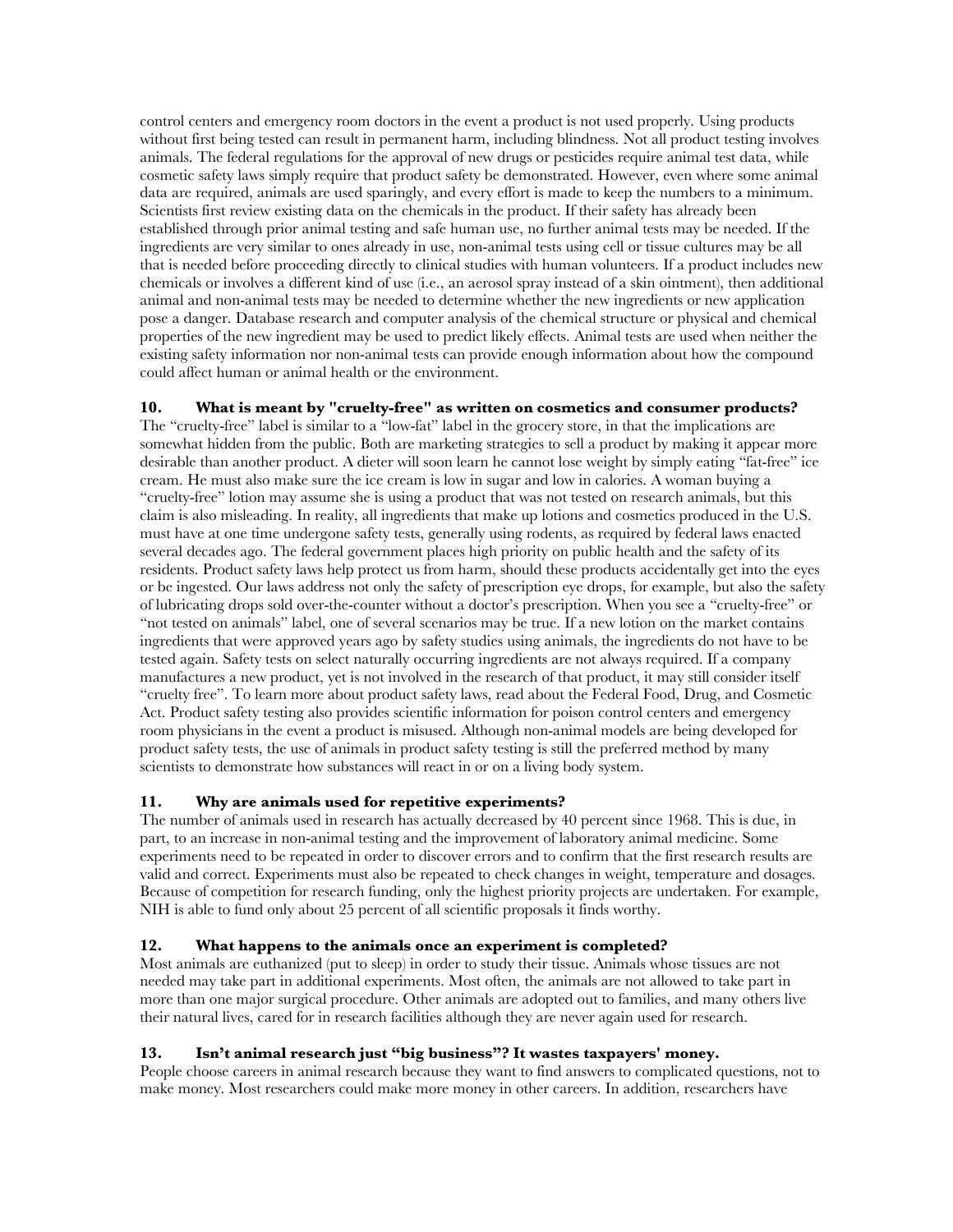control centers and emergency room doctors in the event a product is not used properly. Using products without first being tested can result in permanent harm, including blindness. Not all product testing involves animals. The federal regulations for the approval of new drugs or pesticides require animal test data, while cosmetic safety laws simply require that product safety be demonstrated. However, even where some animal data are required, animals are used sparingly, and every effort is made to keep the numbers to a minimum. Scientists first review existing data on the chemicals in the product. If their safety has already been established through prior animal testing and safe human use, no further animal tests may be needed. If the ingredients are very similar to ones already in use, non-animal tests using cell or tissue cultures may be all that is needed before proceeding directly to clinical studies with human volunteers. If a product includes new chemicals or involves a different kind of use (i.e., an aerosol spray instead of a skin ointment), then additional animal and non-animal tests may be needed to determine whether the new ingredients or new application pose a danger. Database research and computer analysis of the chemical structure or physical and chemical properties of the new ingredient may be used to predict likely effects. Animal tests are used when neither the existing safety information nor non-animal tests can provide enough information about how the compound could affect human or animal health or the environment.

**10. What is meant by "cruelty-free" as written on cosmetics and consumer products?**  The "cruelty-free" label is similar to a "low-fat" label in the grocery store, in that the implications are somewhat hidden from the public. Both are marketing strategies to sell a product by making it appear more desirable than another product. A dieter will soon learn he cannot lose weight by simply eating "fat-free" ice cream. He must also make sure the ice cream is low in sugar and low in calories. A woman buying a "cruelty-free" lotion may assume she is using a product that was not tested on research animals, but this claim is also misleading. In reality, all ingredients that make up lotions and cosmetics produced in the U.S. must have at one time undergone safety tests, generally using rodents, as required by federal laws enacted several decades ago. The federal government places high priority on public health and the safety of its residents. Product safety laws help protect us from harm, should these products accidentally get into the eyes or be ingested. Our laws address not only the safety of prescription eye drops, for example, but also the safety of lubricating drops sold over-the-counter without a doctor's prescription. When you see a "cruelty-free" or "not tested on animals" label, one of several scenarios may be true. If a new lotion on the market contains ingredients that were approved years ago by safety studies using animals, the ingredients do not have to be tested again. Safety tests on select naturally occurring ingredients are not always required. If a company manufactures a new product, yet is not involved in the research of that product, it may still consider itself "cruelty free". To learn more about product safety laws, read about the Federal Food, Drug, and Cosmetic Act. Product safety testing also provides scientific information for poison control centers and emergency room physicians in the event a product is misused. Although non-animal models are being developed for product safety tests, the use of animals in product safety testing is still the preferred method by many scientists to demonstrate how substances will react in or on a living body system.

## **11. Why are animals used for repetitive experiments?**

The number of animals used in research has actually decreased by 40 percent since 1968. This is due, in part, to an increase in non-animal testing and the improvement of laboratory animal medicine. Some experiments need to be repeated in order to discover errors and to confirm that the first research results are valid and correct. Experiments must also be repeated to check changes in weight, temperature and dosages. Because of competition for research funding, only the highest priority projects are undertaken. For example, NIH is able to fund only about 25 percent of all scientific proposals it finds worthy.

# **12. What happens to the animals once an experiment is completed?**

Most animals are euthanized (put to sleep) in order to study their tissue. Animals whose tissues are not needed may take part in additional experiments. Most often, the animals are not allowed to take part in more than one major surgical procedure. Other animals are adopted out to families, and many others live their natural lives, cared for in research facilities although they are never again used for research.

## **13. Isn't animal research just "big business"? It wastes taxpayers' money.**

People choose careers in animal research because they want to find answers to complicated questions, not to make money. Most researchers could make more money in other careers. In addition, researchers have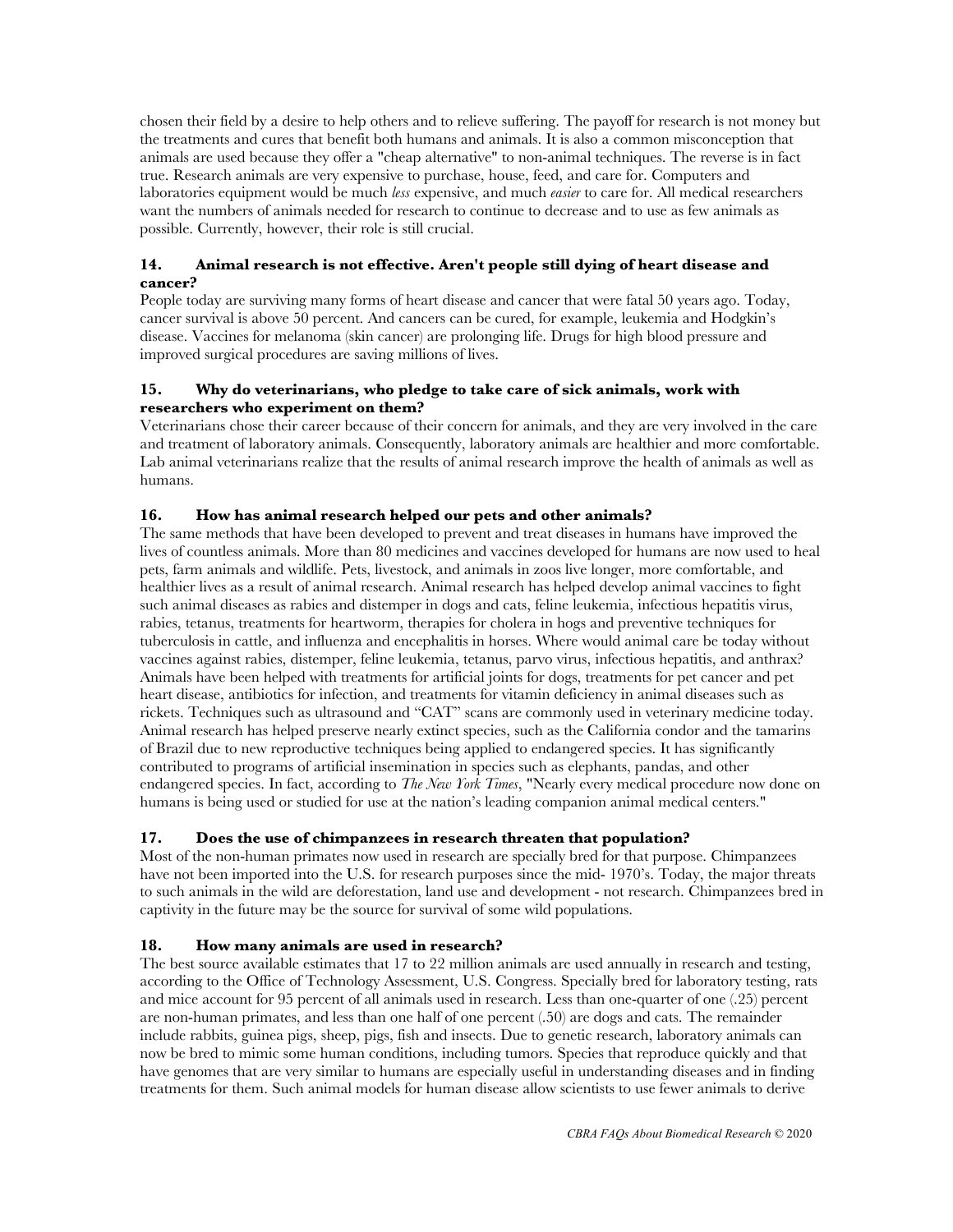chosen their field by a desire to help others and to relieve suffering. The payoff for research is not money but the treatments and cures that benefit both humans and animals. It is also a common misconception that animals are used because they offer a "cheap alternative" to non-animal techniques. The reverse is in fact true. Research animals are very expensive to purchase, house, feed, and care for. Computers and laboratories equipment would be much *less* expensive, and much *easier* to care for. All medical researchers want the numbers of animals needed for research to continue to decrease and to use as few animals as possible. Currently, however, their role is still crucial.

## **14. Animal research is not effective. Aren't people still dying of heart disease and cancer?**

People today are surviving many forms of heart disease and cancer that were fatal 50 years ago. Today, cancer survival is above 50 percent. And cancers can be cured, for example, leukemia and Hodgkin's disease. Vaccines for melanoma (skin cancer) are prolonging life. Drugs for high blood pressure and improved surgical procedures are saving millions of lives.

## **15. Why do veterinarians, who pledge to take care of sick animals, work with researchers who experiment on them?**

Veterinarians chose their career because of their concern for animals, and they are very involved in the care and treatment of laboratory animals. Consequently, laboratory animals are healthier and more comfortable. Lab animal veterinarians realize that the results of animal research improve the health of animals as well as humans.

## **16. How has animal research helped our pets and other animals?**

The same methods that have been developed to prevent and treat diseases in humans have improved the lives of countless animals. More than 80 medicines and vaccines developed for humans are now used to heal pets, farm animals and wildlife. Pets, livestock, and animals in zoos live longer, more comfortable, and healthier lives as a result of animal research. Animal research has helped develop animal vaccines to fight such animal diseases as rabies and distemper in dogs and cats, feline leukemia, infectious hepatitis virus, rabies, tetanus, treatments for heartworm, therapies for cholera in hogs and preventive techniques for tuberculosis in cattle, and influenza and encephalitis in horses. Where would animal care be today without vaccines against rabies, distemper, feline leukemia, tetanus, parvo virus, infectious hepatitis, and anthrax? Animals have been helped with treatments for artificial joints for dogs, treatments for pet cancer and pet heart disease, antibiotics for infection, and treatments for vitamin deficiency in animal diseases such as rickets. Techniques such as ultrasound and "CAT" scans are commonly used in veterinary medicine today. Animal research has helped preserve nearly extinct species, such as the California condor and the tamarins of Brazil due to new reproductive techniques being applied to endangered species. It has significantly contributed to programs of artificial insemination in species such as elephants, pandas, and other endangered species. In fact, according to *The New York Times*, "Nearly every medical procedure now done on humans is being used or studied for use at the nation's leading companion animal medical centers."

## **17. Does the use of chimpanzees in research threaten that population?**

Most of the non-human primates now used in research are specially bred for that purpose. Chimpanzees have not been imported into the U.S. for research purposes since the mid- 1970's. Today, the major threats to such animals in the wild are deforestation, land use and development - not research. Chimpanzees bred in captivity in the future may be the source for survival of some wild populations.

## **18. How many animals are used in research?**

The best source available estimates that 17 to 22 million animals are used annually in research and testing, according to the Office of Technology Assessment, U.S. Congress. Specially bred for laboratory testing, rats and mice account for 95 percent of all animals used in research. Less than one-quarter of one (.25) percent are non-human primates, and less than one half of one percent (.50) are dogs and cats. The remainder include rabbits, guinea pigs, sheep, pigs, fish and insects. Due to genetic research, laboratory animals can now be bred to mimic some human conditions, including tumors. Species that reproduce quickly and that have genomes that are very similar to humans are especially useful in understanding diseases and in finding treatments for them. Such animal models for human disease allow scientists to use fewer animals to derive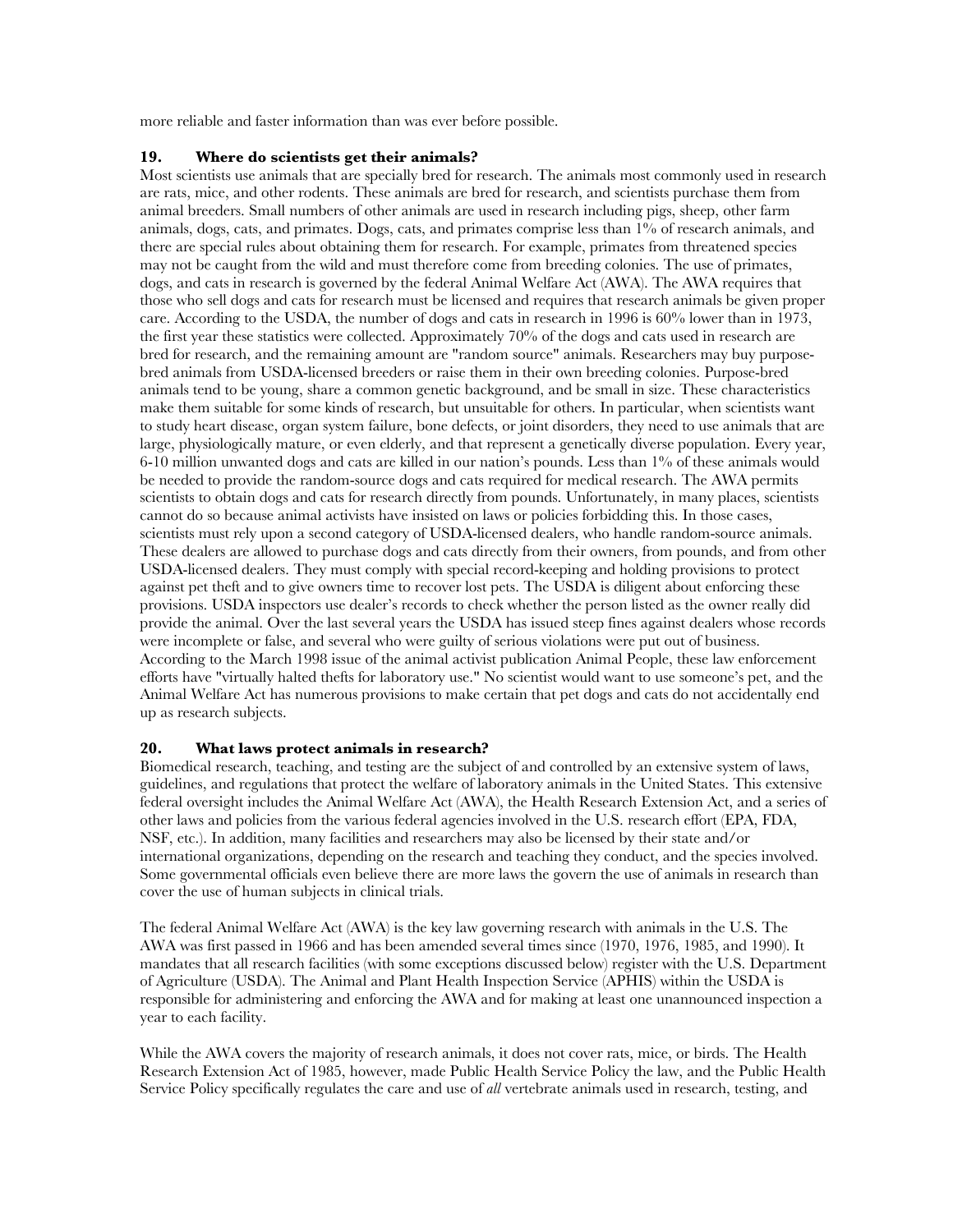more reliable and faster information than was ever before possible.

## **19. Where do scientists get their animals?**

Most scientists use animals that are specially bred for research. The animals most commonly used in research are rats, mice, and other rodents. These animals are bred for research, and scientists purchase them from animal breeders. Small numbers of other animals are used in research including pigs, sheep, other farm animals, dogs, cats, and primates. Dogs, cats, and primates comprise less than 1% of research animals, and there are special rules about obtaining them for research. For example, primates from threatened species may not be caught from the wild and must therefore come from breeding colonies. The use of primates, dogs, and cats in research is governed by the federal Animal Welfare Act (AWA). The AWA requires that those who sell dogs and cats for research must be licensed and requires that research animals be given proper care. According to the USDA, the number of dogs and cats in research in 1996 is 60% lower than in 1973, the first year these statistics were collected. Approximately 70% of the dogs and cats used in research are bred for research, and the remaining amount are "random source" animals. Researchers may buy purposebred animals from USDA-licensed breeders or raise them in their own breeding colonies. Purpose-bred animals tend to be young, share a common genetic background, and be small in size. These characteristics make them suitable for some kinds of research, but unsuitable for others. In particular, when scientists want to study heart disease, organ system failure, bone defects, or joint disorders, they need to use animals that are large, physiologically mature, or even elderly, and that represent a genetically diverse population. Every year, 6-10 million unwanted dogs and cats are killed in our nation's pounds. Less than 1% of these animals would be needed to provide the random-source dogs and cats required for medical research. The AWA permits scientists to obtain dogs and cats for research directly from pounds. Unfortunately, in many places, scientists cannot do so because animal activists have insisted on laws or policies forbidding this. In those cases, scientists must rely upon a second category of USDA-licensed dealers, who handle random-source animals. These dealers are allowed to purchase dogs and cats directly from their owners, from pounds, and from other USDA-licensed dealers. They must comply with special record-keeping and holding provisions to protect against pet theft and to give owners time to recover lost pets. The USDA is diligent about enforcing these provisions. USDA inspectors use dealer's records to check whether the person listed as the owner really did provide the animal. Over the last several years the USDA has issued steep fines against dealers whose records were incomplete or false, and several who were guilty of serious violations were put out of business. According to the March 1998 issue of the animal activist publication Animal People, these law enforcement efforts have "virtually halted thefts for laboratory use." No scientist would want to use someone's pet, and the Animal Welfare Act has numerous provisions to make certain that pet dogs and cats do not accidentally end up as research subjects.

## **20. What laws protect animals in research?**

Biomedical research, teaching, and testing are the subject of and controlled by an extensive system of laws, guidelines, and regulations that protect the welfare of laboratory animals in the United States. This extensive federal oversight includes the Animal Welfare Act (AWA), the Health Research Extension Act, and a series of other laws and policies from the various federal agencies involved in the U.S. research effort (EPA, FDA, NSF, etc.). In addition, many facilities and researchers may also be licensed by their state and/or international organizations, depending on the research and teaching they conduct, and the species involved. Some governmental officials even believe there are more laws the govern the use of animals in research than cover the use of human subjects in clinical trials.

The federal Animal Welfare Act (AWA) is the key law governing research with animals in the U.S. The AWA was first passed in 1966 and has been amended several times since (1970, 1976, 1985, and 1990). It mandates that all research facilities (with some exceptions discussed below) register with the U.S. Department of Agriculture (USDA). The Animal and Plant Health Inspection Service (APHIS) within the USDA is responsible for administering and enforcing the AWA and for making at least one unannounced inspection a year to each facility.

While the AWA covers the majority of research animals, it does not cover rats, mice, or birds. The Health Research Extension Act of 1985, however, made Public Health Service Policy the law, and the Public Health Service Policy specifically regulates the care and use of *all* vertebrate animals used in research, testing, and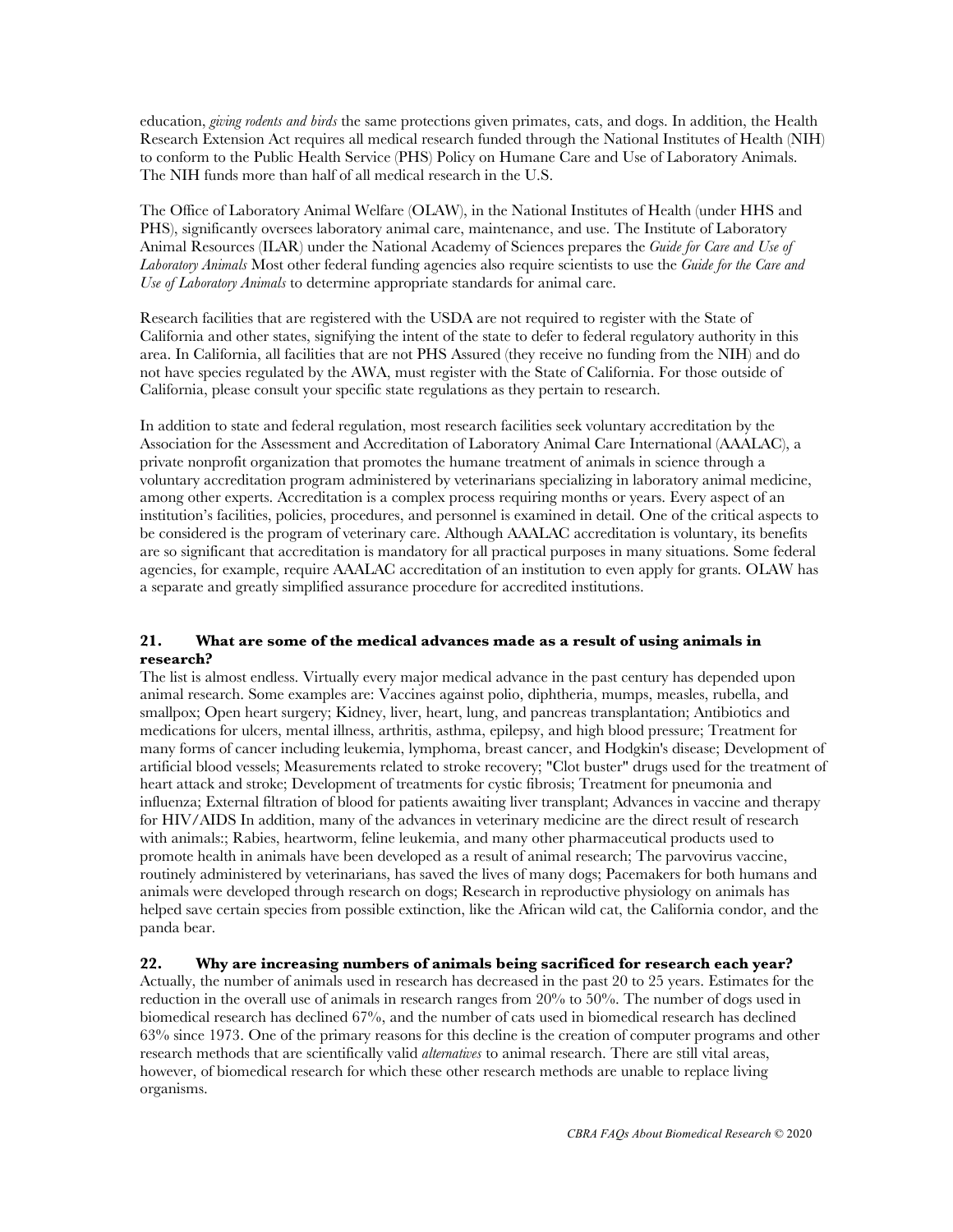education, *giving rodents and birds* the same protections given primates, cats, and dogs. In addition, the Health Research Extension Act requires all medical research funded through the National Institutes of Health (NIH) to conform to the Public Health Service (PHS) Policy on Humane Care and Use of Laboratory Animals. The NIH funds more than half of all medical research in the U.S.

The Office of Laboratory Animal Welfare (OLAW), in the National Institutes of Health (under HHS and PHS), significantly oversees laboratory animal care, maintenance, and use. The Institute of Laboratory Animal Resources (ILAR) under the National Academy of Sciences prepares the *Guide for Care and Use of Laboratory Animals* Most other federal funding agencies also require scientists to use the *Guide for the Care and Use of Laboratory Animals* to determine appropriate standards for animal care.

Research facilities that are registered with the USDA are not required to register with the State of California and other states, signifying the intent of the state to defer to federal regulatory authority in this area. In California, all facilities that are not PHS Assured (they receive no funding from the NIH) and do not have species regulated by the AWA, must register with the State of California. For those outside of California, please consult your specific state regulations as they pertain to research.

In addition to state and federal regulation, most research facilities seek voluntary accreditation by the Association for the Assessment and Accreditation of Laboratory Animal Care International (AAALAC), a private nonprofit organization that promotes the humane treatment of animals in science through a voluntary accreditation program administered by veterinarians specializing in laboratory animal medicine, among other experts. Accreditation is a complex process requiring months or years. Every aspect of an institution's facilities, policies, procedures, and personnel is examined in detail. One of the critical aspects to be considered is the program of veterinary care. Although AAALAC accreditation is voluntary, its benefits are so significant that accreditation is mandatory for all practical purposes in many situations. Some federal agencies, for example, require AAALAC accreditation of an institution to even apply for grants. OLAW has a separate and greatly simplified assurance procedure for accredited institutions.

## **21. What are some of the medical advances made as a result of using animals in research?**

The list is almost endless. Virtually every major medical advance in the past century has depended upon animal research. Some examples are: Vaccines against polio, diphtheria, mumps, measles, rubella, and smallpox; Open heart surgery; Kidney, liver, heart, lung, and pancreas transplantation; Antibiotics and medications for ulcers, mental illness, arthritis, asthma, epilepsy, and high blood pressure; Treatment for many forms of cancer including leukemia, lymphoma, breast cancer, and Hodgkin's disease; Development of artificial blood vessels; Measurements related to stroke recovery; "Clot buster" drugs used for the treatment of heart attack and stroke; Development of treatments for cystic fibrosis; Treatment for pneumonia and influenza; External filtration of blood for patients awaiting liver transplant; Advances in vaccine and therapy for HIV/AIDS In addition, many of the advances in veterinary medicine are the direct result of research with animals:; Rabies, heartworm, feline leukemia, and many other pharmaceutical products used to promote health in animals have been developed as a result of animal research; The parvovirus vaccine, routinely administered by veterinarians, has saved the lives of many dogs; Pacemakers for both humans and animals were developed through research on dogs; Research in reproductive physiology on animals has helped save certain species from possible extinction, like the African wild cat, the California condor, and the panda bear.

## **22. Why are increasing numbers of animals being sacrificed for research each year?**

Actually, the number of animals used in research has decreased in the past 20 to 25 years. Estimates for the reduction in the overall use of animals in research ranges from 20% to 50%. The number of dogs used in biomedical research has declined 67%, and the number of cats used in biomedical research has declined 63% since 1973. One of the primary reasons for this decline is the creation of computer programs and other research methods that are scientifically valid *alternatives* to animal research. There are still vital areas, however, of biomedical research for which these other research methods are unable to replace living organisms.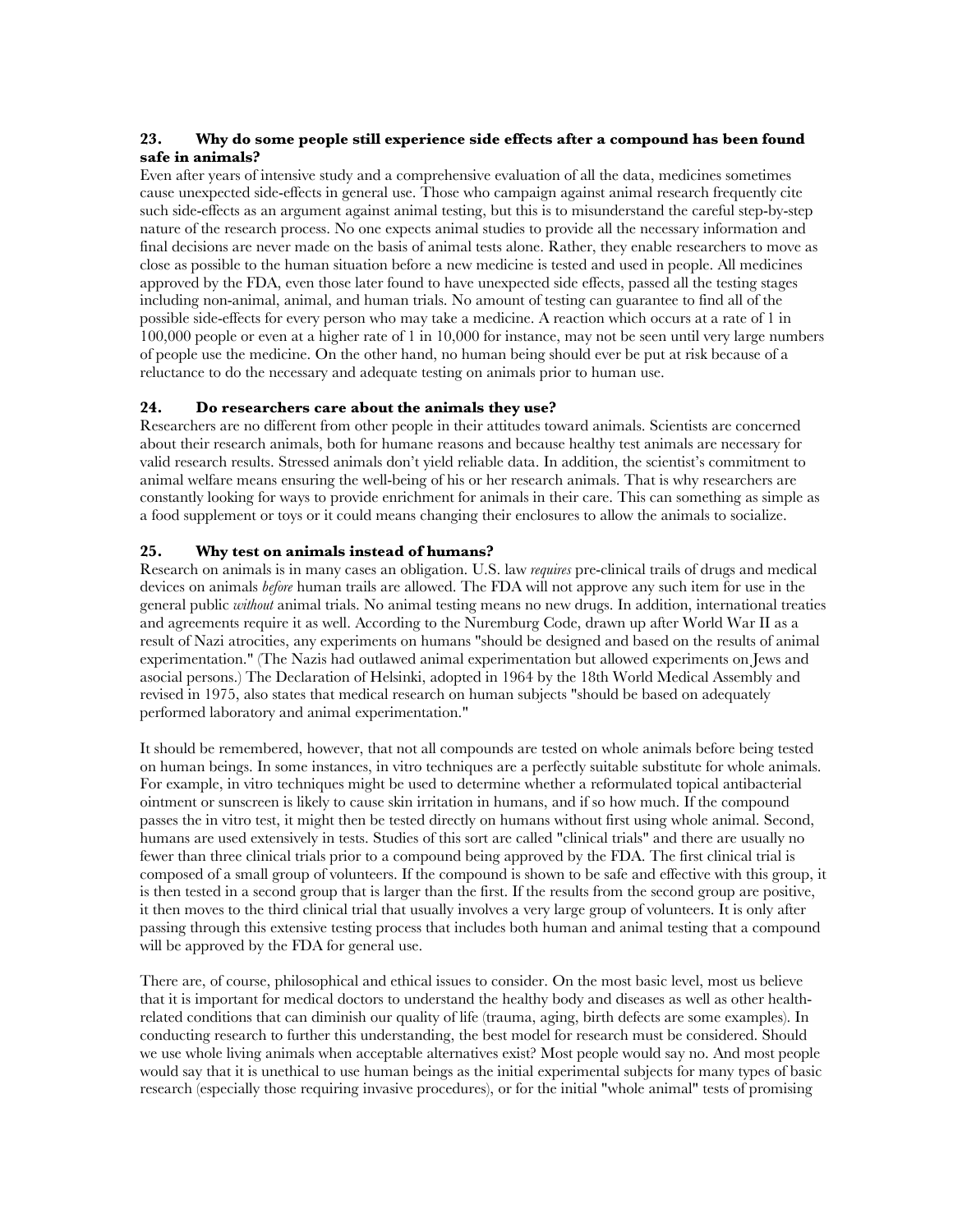## **23. Why do some people still experience side effects after a compound has been found safe in animals?**

Even after years of intensive study and a comprehensive evaluation of all the data, medicines sometimes cause unexpected side-effects in general use. Those who campaign against animal research frequently cite such side-effects as an argument against animal testing, but this is to misunderstand the careful step-by-step nature of the research process. No one expects animal studies to provide all the necessary information and final decisions are never made on the basis of animal tests alone. Rather, they enable researchers to move as close as possible to the human situation before a new medicine is tested and used in people. All medicines approved by the FDA, even those later found to have unexpected side effects, passed all the testing stages including non-animal, animal, and human trials. No amount of testing can guarantee to find all of the possible side-effects for every person who may take a medicine. A reaction which occurs at a rate of 1 in 100,000 people or even at a higher rate of 1 in 10,000 for instance, may not be seen until very large numbers of people use the medicine. On the other hand, no human being should ever be put at risk because of a reluctance to do the necessary and adequate testing on animals prior to human use.

## **24. Do researchers care about the animals they use?**

Researchers are no different from other people in their attitudes toward animals. Scientists are concerned about their research animals, both for humane reasons and because healthy test animals are necessary for valid research results. Stressed animals don't yield reliable data. In addition, the scientist's commitment to animal welfare means ensuring the well-being of his or her research animals. That is why researchers are constantly looking for ways to provide enrichment for animals in their care. This can something as simple as a food supplement or toys or it could means changing their enclosures to allow the animals to socialize.

## **25. Why test on animals instead of humans?**

Research on animals is in many cases an obligation. U.S. law *requires* pre-clinical trails of drugs and medical devices on animals *before* human trails are allowed. The FDA will not approve any such item for use in the general public *without* animal trials. No animal testing means no new drugs. In addition, international treaties and agreements require it as well. According to the Nuremburg Code, drawn up after World War II as a result of Nazi atrocities, any experiments on humans "should be designed and based on the results of animal experimentation." (The Nazis had outlawed animal experimentation but allowed experiments on Jews and asocial persons.) The Declaration of Helsinki, adopted in 1964 by the 18th World Medical Assembly and revised in 1975, also states that medical research on human subjects "should be based on adequately performed laboratory and animal experimentation."

It should be remembered, however, that not all compounds are tested on whole animals before being tested on human beings. In some instances, in vitro techniques are a perfectly suitable substitute for whole animals. For example, in vitro techniques might be used to determine whether a reformulated topical antibacterial ointment or sunscreen is likely to cause skin irritation in humans, and if so how much. If the compound passes the in vitro test, it might then be tested directly on humans without first using whole animal. Second, humans are used extensively in tests. Studies of this sort are called "clinical trials" and there are usually no fewer than three clinical trials prior to a compound being approved by the FDA. The first clinical trial is composed of a small group of volunteers. If the compound is shown to be safe and effective with this group, it is then tested in a second group that is larger than the first. If the results from the second group are positive, it then moves to the third clinical trial that usually involves a very large group of volunteers. It is only after passing through this extensive testing process that includes both human and animal testing that a compound will be approved by the FDA for general use.

There are, of course, philosophical and ethical issues to consider. On the most basic level, most us believe that it is important for medical doctors to understand the healthy body and diseases as well as other healthrelated conditions that can diminish our quality of life (trauma, aging, birth defects are some examples). In conducting research to further this understanding, the best model for research must be considered. Should we use whole living animals when acceptable alternatives exist? Most people would say no. And most people would say that it is unethical to use human beings as the initial experimental subjects for many types of basic research (especially those requiring invasive procedures), or for the initial "whole animal" tests of promising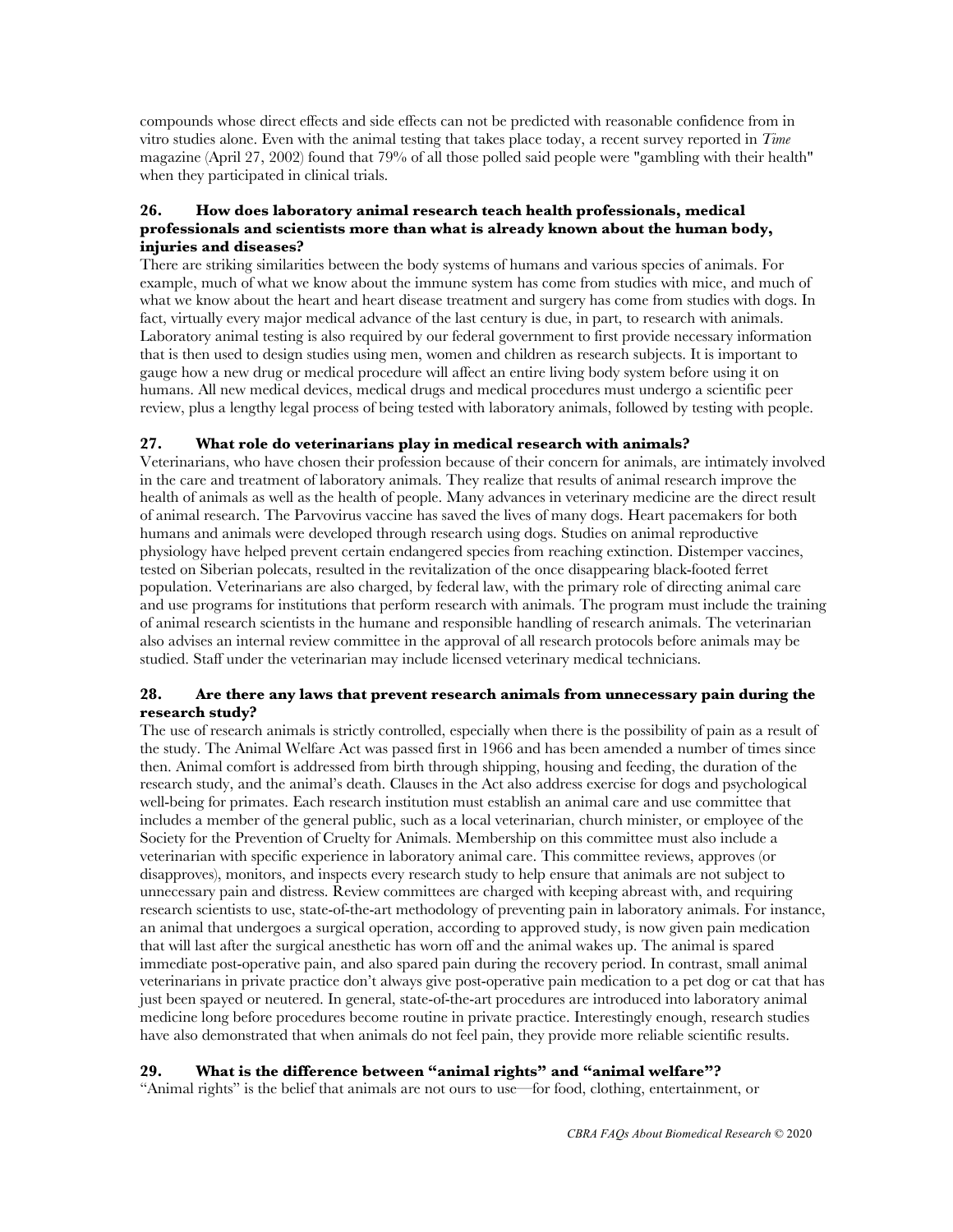compounds whose direct effects and side effects can not be predicted with reasonable confidence from in vitro studies alone. Even with the animal testing that takes place today, a recent survey reported in *Time* magazine (April 27, 2002) found that 79% of all those polled said people were "gambling with their health" when they participated in clinical trials.

## **26. How does laboratory animal research teach health professionals, medical professionals and scientists more than what is already known about the human body, injuries and diseases?**

There are striking similarities between the body systems of humans and various species of animals. For example, much of what we know about the immune system has come from studies with mice, and much of what we know about the heart and heart disease treatment and surgery has come from studies with dogs. In fact, virtually every major medical advance of the last century is due, in part, to research with animals. Laboratory animal testing is also required by our federal government to first provide necessary information that is then used to design studies using men, women and children as research subjects. It is important to gauge how a new drug or medical procedure will affect an entire living body system before using it on humans. All new medical devices, medical drugs and medical procedures must undergo a scientific peer review, plus a lengthy legal process of being tested with laboratory animals, followed by testing with people.

## **27. What role do veterinarians play in medical research with animals?**

Veterinarians, who have chosen their profession because of their concern for animals, are intimately involved in the care and treatment of laboratory animals. They realize that results of animal research improve the health of animals as well as the health of people. Many advances in veterinary medicine are the direct result of animal research. The Parvovirus vaccine has saved the lives of many dogs. Heart pacemakers for both humans and animals were developed through research using dogs. Studies on animal reproductive physiology have helped prevent certain endangered species from reaching extinction. Distemper vaccines, tested on Siberian polecats, resulted in the revitalization of the once disappearing black-footed ferret population. Veterinarians are also charged, by federal law, with the primary role of directing animal care and use programs for institutions that perform research with animals. The program must include the training of animal research scientists in the humane and responsible handling of research animals. The veterinarian also advises an internal review committee in the approval of all research protocols before animals may be studied. Staff under the veterinarian may include licensed veterinary medical technicians.

## **28. Are there any laws that prevent research animals from unnecessary pain during the research study?**

The use of research animals is strictly controlled, especially when there is the possibility of pain as a result of the study. The Animal Welfare Act was passed first in 1966 and has been amended a number of times since then. Animal comfort is addressed from birth through shipping, housing and feeding, the duration of the research study, and the animal's death. Clauses in the Act also address exercise for dogs and psychological well-being for primates. Each research institution must establish an animal care and use committee that includes a member of the general public, such as a local veterinarian, church minister, or employee of the Society for the Prevention of Cruelty for Animals. Membership on this committee must also include a veterinarian with specific experience in laboratory animal care. This committee reviews, approves (or disapproves), monitors, and inspects every research study to help ensure that animals are not subject to unnecessary pain and distress. Review committees are charged with keeping abreast with, and requiring research scientists to use, state-of-the-art methodology of preventing pain in laboratory animals. For instance, an animal that undergoes a surgical operation, according to approved study, is now given pain medication that will last after the surgical anesthetic has worn off and the animal wakes up. The animal is spared immediate post-operative pain, and also spared pain during the recovery period. In contrast, small animal veterinarians in private practice don't always give post-operative pain medication to a pet dog or cat that has just been spayed or neutered. In general, state-of-the-art procedures are introduced into laboratory animal medicine long before procedures become routine in private practice. Interestingly enough, research studies have also demonstrated that when animals do not feel pain, they provide more reliable scientific results.

## **29. What is the difference between "animal rights" and "animal welfare"?**

"Animal rights" is the belief that animals are not ours to use—for food, clothing, entertainment, or